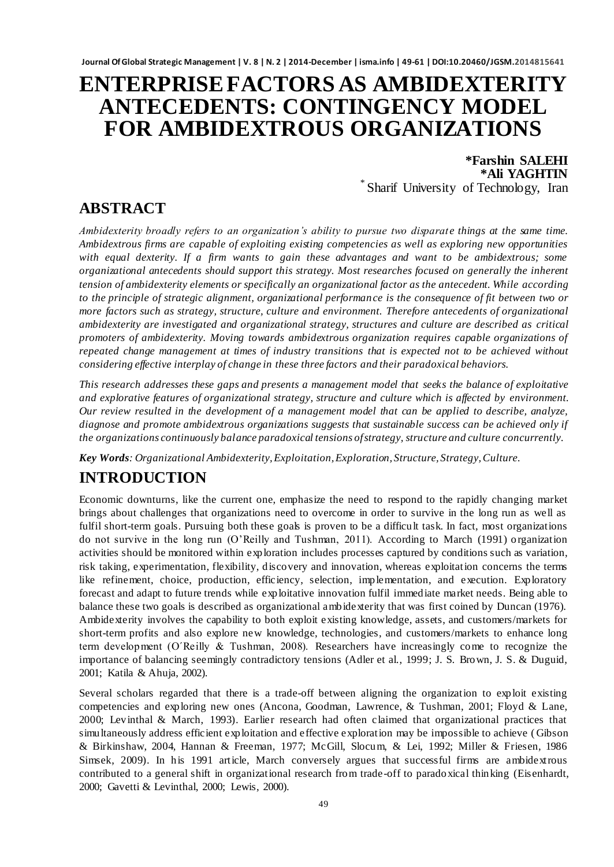# **ENTERPRISE FACTORS AS AMBIDEXTERITY ANTECEDENTS: CONTINGENCY MODEL FOR AMBIDEXTROUS ORGANIZATIONS**

**\*Farshin SALEHI \*Ali YAGHTIN** \* Sharif University of Technology, Iran

## **ABSTRACT**

*Ambidexterity broadly refers to an organization's ability to pursue two disparat e things at the same time. Ambidextrous firms are capable of exploiting existing competencies as well as exploring new opportunities with equal dexterity. If a firm wants to gain these advantages and want to be ambidextrous; some organizational antecedents should support this strategy. Most researches focused on generally the inherent tension of ambidexterity elements or specifically an organizational factor as the antecedent. While according to the principle of strategic alignment, organizational performance is the consequence of fit between two or more factors such as strategy, structure, culture and environment. Therefore antecedents of organizational ambidexterity are investigated and organizational strategy, structures and culture are described as critical promoters of ambidexterity. Moving towards ambidextrous organization requires capable organizations of repeated change management at times of industry transitions that is expected not to be achieved without considering effective interplay of change in these three factors and their paradoxical behaviors.*

*This research addresses these gaps and presents a management model that seeks the balance of exploitative and explorative features of organizational strategy, structure and culture which is affected by environment. Our review resulted in the development of a management model that can be applied to describe, analyze, diagnose and promote ambidextrous organizations suggests that sustainable success can be achieved only if the organizations continuously balance paradoxical tensions of strategy, structure and culture concurrently.*

*Key Words: Organizational Ambidexterity, Exploitation, Exploration, Structure, Strategy, Culture.*

## **INTRODUCTION**

Economic downturns, like the current one, emphasize the need to respond to the rapidly changing market brings about challenges that organizations need to overcome in order to survive in the long run as well as fulfil short-term goals. Pursuing both these goals is proven to be a difficult task. In fact, most organizations do not survive in the long run (O'Reilly and Tushman, 2011). According to March (1991) organization activities should be monitored within exploration includes processes captured by conditions such as variation, risk taking, experimentation, flexibility, discovery and innovation, whereas exploitation concerns the terms like refinement, choice, production, efficiency, selection, implementation, and execution. Exploratory forecast and adapt to future trends while exploitative innovation fulfil immediate market needs. Being able to balance these two goals is described as organizational ambidexterity that was first coined by Duncan (1976). Ambidexterity involves the capability to both exploit existing knowledge, assets, and customers/markets for short-term profits and also explore new knowledge, technologies, and customers/markets to enhance long term development (O´Reilly & Tushman, 2008). Researchers have increasingly come to recognize the importance of balancing seemingly contradictory tensions (Adler et al., 1999; J. S. Brown, J. S. & Duguid, 2001; Katila & Ahuja, 2002).

Several scholars regarded that there is a trade-off between aligning the organization to exploit existing competencies and exploring new ones (Ancona, Goodman, Lawrence, & Tushman, 2001; Floyd & Lane, 2000; Levinthal & March, 1993). Earlier research had often claimed that organizational practices that simultaneously address efficient exploitation and effective exploration may be impossible to achieve ( Gibson & Birkinshaw, 2004, Hannan & Freeman, 1977; McGill, Slocum, & Lei, 1992; Miller & Friesen, 1986 Simsek, 2009). In his 1991 article, March conversely argues that successful firms are ambidextrous contributed to a general shift in organizational research from trade-off to paradoxical thinking (Eisenhardt, 2000; Gavetti & Levinthal, 2000; Lewis, 2000).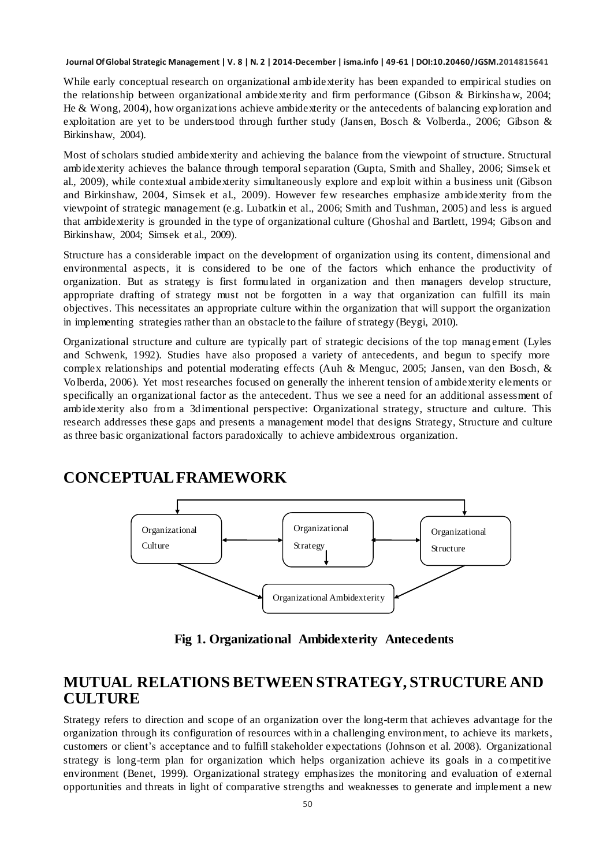While early conceptual research on organizational ambidexterity has been expanded to empirical studies on the relationship between organizational ambidexterity and firm performance (Gibson & Birkinshaw, 2004; He & Wong, 2004), how organizations achieve ambidexterity or the antecedents of balancing exploration and exploitation are yet to be understood through further study (Jansen, Bosch & Volberda., 2006; Gibson & Birkinshaw, 2004).

Most of scholars studied ambidexterity and achieving the balance from the viewpoint of structure. Structural ambidexterity achieves the balance through temporal separation (Gupta, Smith and Shalley, 2006; Simsek et al., 2009), while contextual ambidexterity simultaneously explore and exploit within a business unit (Gibson and Birkinshaw, 2004, Simsek et al., 2009). However few researches emphasize ambidexterity from the viewpoint of strategic management (e.g. Lubatkin et al., 2006; Smith and Tushman, 2005) and less is argued that ambidexterity is grounded in the type of organizational culture (Ghoshal and Bartlett, 1994; Gibson and Birkinshaw, 2004; Simsek et al., 2009).

Structure has a considerable impact on the development of organization using its content, dimensional and environmental aspects, it is considered to be one of the factors which enhance the productivity of organization. But as strategy is first formulated in organization and then managers develop structure, appropriate drafting of strategy must not be forgotten in a way that organization can fulfill its main objectives. This necessitates an appropriate culture within the organization that will support the organization in implementing strategies rather than an obstacle to the failure of strategy (Beygi, 2010).

Organizational structure and culture are typically part of strategic decisions of the top manag ement (Lyles and Schwenk, 1992). Studies have also proposed a variety of antecedents, and begun to specify more complex relationships and potential moderating effects (Auh & Menguc, 2005; Jansen, van den Bosch, & Volberda, 2006). Yet most researches focused on generally the inherent tension of ambidexterity elements or specifically an organizational factor as the antecedent. Thus we see a need for an additional assessment of ambidexterity also from a 3dimentional perspective: Organizational strategy, structure and culture. This research addresses these gaps and presents a management model that designs Strategy, Structure and culture as three basic organizational factors paradoxically to achieve ambidextrous organization.

### **CONCEPTUAL FRAMEWORK**



**Fig 1. Organizational Ambidexterity Antecedents**

### **MUTUAL RELATIONS BETWEEN STRATEGY, STRUCTURE AND CULTURE**

Strategy refers to direction and scope of an organization over the long-term that achieves advantage for the organization through its configuration of resources within a challenging environment, to achieve its markets, customers or client's acceptance and to fulfill stakeholder expectations (Johnson et al. 2008). Organizational strategy is long-term plan for organization which helps organization achieve its goals in a competitive environment (Benet, 1999). Organizational strategy emphasizes the monitoring and evaluation of external opportunities and threats in light of comparative strengths and weaknesses to generate and implement a new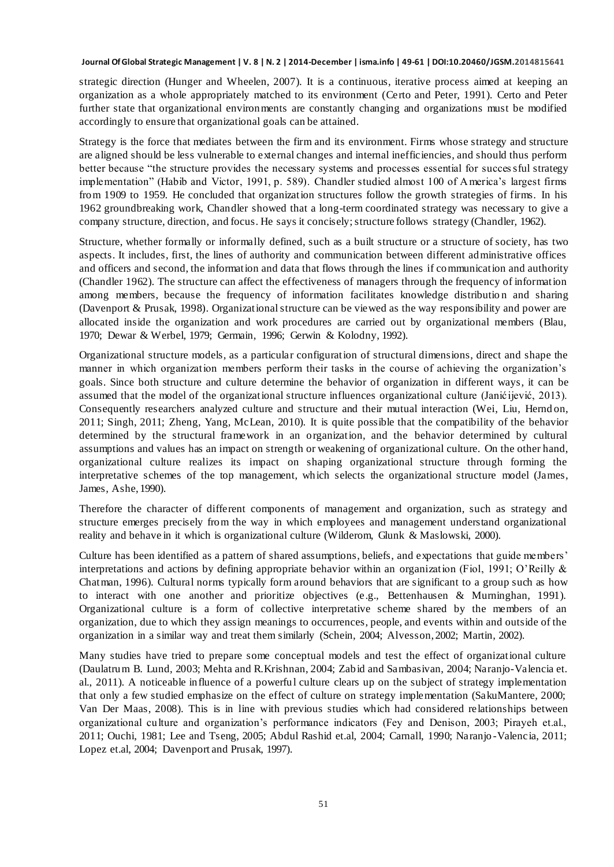strategic direction (Hunger and Wheelen, 2007). It is a continuous, iterative process aimed at keeping an organization as a whole appropriately matched to its environment (Certo and Peter, 1991). Certo and Peter further state that organizational environments are constantly changing and organizations must be modified accordingly to ensure that organizational goals can be attained.

Strategy is the force that mediates between the firm and its environment. Firms whose strategy and structure are aligned should be less vulnerable to external changes and internal inefficiencies, and should thus perform better because "the structure provides the necessary systems and processes essential for successful strategy implementation" (Habib and Victor, 1991, p. 589). Chandler studied almost 100 of America's largest firms from 1909 to 1959. He concluded that organization structures follow the growth strategies of firms. In his 1962 groundbreaking work, Chandler showed that a long-term coordinated strategy was necessary to give a company structure, direction, and focus. He says it concisely; structure follows strategy (Chandler, 1962).

Structure, whether formally or informally defined, such as a built structure or a structure of society, has two aspects. It includes, first, the lines of authority and communication between different administrative offices and officers and second, the information and data that flows through the lines if communication and authority (Chandler 1962). The structure can affect the effectiveness of managers through the frequency of information among members, because the frequency of information facilitates knowledge distribution and sharing (Davenport & Prusak, 1998). Organizational structure can be viewed as the way responsibility and power are allocated inside the organization and work procedures are carried out by organizational members (Blau, 1970; Dewar & Werbel, 1979; Germain, 1996; Gerwin & Kolodny, 1992).

Organizational structure models, as a particular configuration of structural dimensions, direct and shape the manner in which organization members perform their tasks in the course of achieving the organization's goals. Since both structure and culture determine the behavior of organization in different ways, it can be assumed that the model of the organizational structure influences organizational culture (Janićijević, 2013). Consequently researchers analyzed culture and structure and their mutual interaction (Wei, Liu, Hernd on, 2011; Singh, 2011; Zheng, Yang, McLean, 2010). It is quite possible that the compatibility of the behavior determined by the structural framework in an organization, and the behavior determined by cultural assumptions and values has an impact on strength or weakening of organizational culture. On the other hand, organizational culture realizes its impact on shaping organizational structure through forming the interpretative schemes of the top management, which selects the organizational structure model (James, James, Ashe, 1990).

Therefore the character of different components of management and organization, such as strategy and structure emerges precisely from the way in which employees and management understand organizational reality and behave in it which is organizational culture (Wilderom, Glunk & Maslowski, 2000).

Culture has been identified as a pattern of shared assumptions, beliefs, and expectations that guide members' interpretations and actions by defining appropriate behavior within an organization (Fiol, 1991; O'Reilly & Chatman, 1996). Cultural norms typically form around behaviors that are significant to a group such as how to interact with one another and prioritize objectives (e.g., Bettenhausen & Murninghan, 1991). Organizational culture is a form of collective interpretative scheme shared by the members of an organization, due to which they assign meanings to occurrences, people, and events within and outside of the organization in a similar way and treat them similarly (Schein, 2004; Alvesson, 2002; Martin, 2002).

Many studies have tried to prepare some conceptual models and test the effect of organizational culture (Daulatrum B. Lund, 2003; Mehta and R.Krishnan, 2004; Zabid and Sambasivan, 2004; Naranjo-Valencia et. al., 2011). A noticeable influence of a powerful culture clears up on the subject of strategy implementation that only a few studied emphasize on the effect of culture on strategy implementation (SakuMantere, 2000; Van Der Maas, 2008). This is in line with previous studies which had considered relationships between organizational culture and organization's performance indicators (Fey and Denison, 2003; Pirayeh et.al., 2011; Ouchi, 1981; Lee and Tseng, 2005; Abdul Rashid et.al, 2004; Carnall, 1990; Naranjo -Valencia, 2011; Lopez et.al, 2004; Davenport and Prusak, 1997).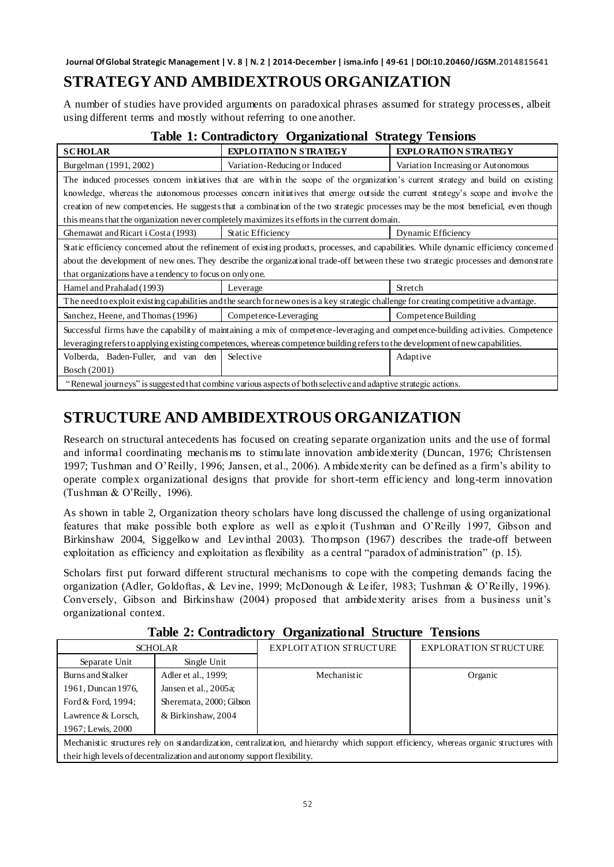## **STRATEGY AND AMBIDEXTROUS ORGANIZATION**

A number of studies have provided arguments on paradoxical phrases assumed for strategy processes, albeit using different terms and mostly without referring to one another.

| Table 1: Contradictory Organizational Strategy Tensions                                                                                 |                               |                                    |  |  |
|-----------------------------------------------------------------------------------------------------------------------------------------|-------------------------------|------------------------------------|--|--|
| <b>SCHOLAR</b>                                                                                                                          | <b>EXPLOITATION STRATEGY</b>  | <b>EXPLORATION STRATEGY</b>        |  |  |
| Burgelman (1991, 2002)                                                                                                                  | Variation-Reducing or Induced | Variation Increasing or Autonomous |  |  |
| The induced processes concern initiatives that are within the scope of the organization's current strategy and build on existing        |                               |                                    |  |  |
| knowledge, whereas the autonomous processes concern initiatives that emerge outside the current strategy's scope and involve the        |                               |                                    |  |  |
| creation of new competencies. He suggests that a combination of the two strategic processes may be the most beneficial, even though     |                               |                                    |  |  |
| this means that the organization never completely maximizes its efforts in the current domain.                                          |                               |                                    |  |  |
| Ghemawat and Ricart i Costa (1993)                                                                                                      | Static Efficiency             | Dynamic Efficiency                 |  |  |
| Static efficiency concerned about the refinement of existing products, processes, and capabilities. While dynamic efficiency concerned  |                               |                                    |  |  |
| about the development of new ones. They describe the organizational trade-off between these two strategic processes and demonstrate     |                               |                                    |  |  |
| that organizations have a tendency to focus on only one.                                                                                |                               |                                    |  |  |
| Hamel and Prahalad (1993)                                                                                                               | Leverage                      | Stretch                            |  |  |
| The need to exploit existing capabilities and the search for new ones is a key strategic challenge for creating competitive a dvantage. |                               |                                    |  |  |
| Sanchez, Heene, and Thomas (1996)                                                                                                       | Competence-Leveraging         | Competence Building                |  |  |
| Successful firms have the capability of maintaining a mix of competence-leveraging and competence-building activities. Competence       |                               |                                    |  |  |
| leveraging refers to applying existing competences, whereas competence building refers to the development of new capabilities.          |                               |                                    |  |  |
| Volberda, Baden-Fuller, and van den                                                                                                     | Selective                     | Adaptive                           |  |  |
| Bosch (2001)                                                                                                                            |                               |                                    |  |  |
| "Renewal journeys" is suggested that combine various aspects of both selective and adaptive strategic actions.                          |                               |                                    |  |  |

#### **Table 1: Contradictory Organizational Strategy Tensions**

## **STRUCTURE AND AMBIDEXTROUS ORGANIZATION**

Research on structural antecedents has focused on creating separate organization units and the use of formal and informal coordinating mechanis ms to stimulate innovation ambidexterity (Duncan, 1976; Christensen 1997; Tushman and O'Reilly, 1996; Jansen, et al., 2006). Ambidexterity can be defined as a firm's ability to operate complex organizational designs that provide for short-term efficiency and long-term innovation (Tushman & O'Reilly, 1996).

As shown in table 2, Organization theory scholars have long discussed the challenge of using organizational features that make possible both explore as well as exploit (Tushman and O'Reilly 1997, Gibson and Birkinshaw 2004, Siggelkow and Levinthal 2003). Thompson (1967) describes the trade-off between exploitation as efficiency and exploitation as flexibility as a central "paradox of administration" (p. 15).

Scholars first put forward different structural mechanisms to cope with the competing demands facing the organization (Adler, Goldoftas, & Levine, 1999; McDonough & Leifer, 1983; Tushman & O'Reilly, 1996). Conversely, Gibson and Birkinshaw (2004) proposed that ambidexterity arises from a business unit's organizational context.

| <b>SCHOLAR</b>                                                                                                                          |                         | <b>EXPLOITATION STRUCTURE</b> | <b>EXPLORATION STRUCTURE</b> |  |
|-----------------------------------------------------------------------------------------------------------------------------------------|-------------------------|-------------------------------|------------------------------|--|
| Separate Unit                                                                                                                           | Single Unit             |                               |                              |  |
| Burns and Stalker                                                                                                                       | Adler et al., 1999;     | Mechanistic                   | Organic                      |  |
| 1961, Duncan 1976,                                                                                                                      | Jansen et al., 2005a;   |                               |                              |  |
| Ford & Ford, 1994;                                                                                                                      | Sheremata, 2000; Gibson |                               |                              |  |
| Lawrence & Lorsch,                                                                                                                      | & Birkinshaw, 2004      |                               |                              |  |
| 1967; Lewis, 2000                                                                                                                       |                         |                               |                              |  |
| Mechanistic structures rely on standardization, centralization, and hierarchy which support efficiency, whereas organic structures with |                         |                               |                              |  |
| their high levels of decentralization and autonomy support flexibility.                                                                 |                         |                               |                              |  |

#### **Table 2: Contradictory Organizational Structure Tensions**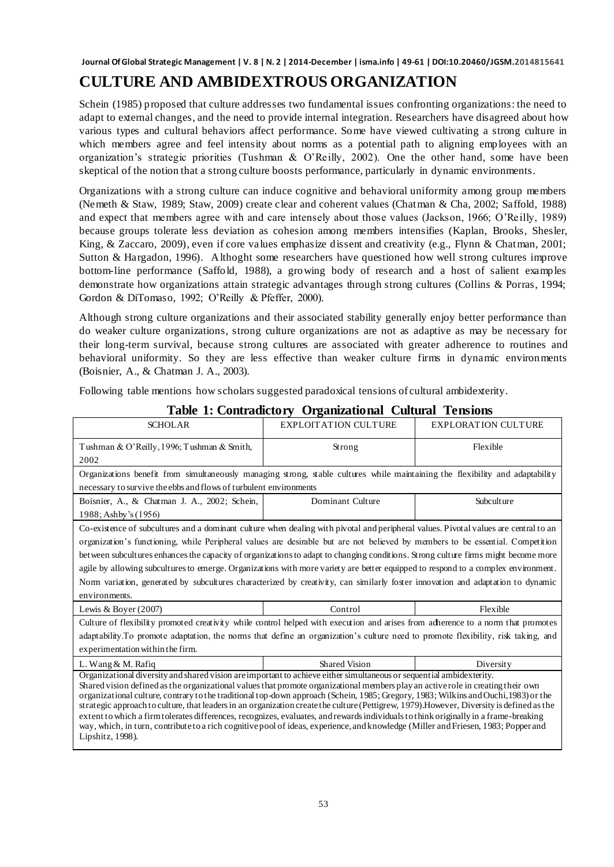## **CULTURE AND AMBIDEXTROUS ORGANIZATION**

Schein (1985) proposed that culture addresses two fundamental issues confronting organizations: the need to adapt to external changes, and the need to provide internal integration. Researchers have disagreed about how various types and cultural behaviors affect performance. Some have viewed cultivating a strong culture in which members agree and feel intensity about norms as a potential path to aligning employees with an organization's strategic priorities (Tushman & O'Reilly, 2002). One the other hand, some have been skeptical of the notion that a strong culture boosts performance, particularly in dynamic environments.

Organizations with a strong culture can induce cognitive and behavioral uniformity among group members (Nemeth & Staw, 1989; Staw, 2009) create clear and coherent values (Chatman & Cha, 2002; Saffold, 1988) and expect that members agree with and care intensely about those values (Jackson, 1966; O'Reilly, 1989) because groups tolerate less deviation as cohesion among members intensifies (Kaplan, Brooks, Shesler, King, & Zaccaro, 2009), even if core values emphasize dissent and creativity (e.g., Flynn & Chatman, 2001; Sutton & Hargadon, 1996). Althoght some researchers have questioned how well strong cultures improve bottom-line performance (Saffold, 1988), a growing body of research and a host of salient examples demonstrate how organizations attain strategic advantages through strong cultures (Collins & Porras, 1994; Gordon & DiTomaso, 1992; O'Reilly & Pfeffer, 2000).

Although strong culture organizations and their associated stability generally enjoy better performance than do weaker culture organizations, strong culture organizations are not as adaptive as may be necessary for their long-term survival, because strong cultures are associated with greater adherence to routines and behavioral uniformity. So they are less effective than weaker culture firms in dynamic environments (Boisnier, A., & Chatman J. A., 2003).

Following table mentions how scholars suggested paradoxical tensions of cultural ambidexterity.

| <b>SCHOLAR</b>                                                                                                                                                                                                                                                                                                                                                                                                                                                                                                                                                                                                                                                                                                                                                                                                                                 | <b>EXPLOITATION CULTURE</b> | <b>EXPLORATION CULTURE</b> |  |  |  |
|------------------------------------------------------------------------------------------------------------------------------------------------------------------------------------------------------------------------------------------------------------------------------------------------------------------------------------------------------------------------------------------------------------------------------------------------------------------------------------------------------------------------------------------------------------------------------------------------------------------------------------------------------------------------------------------------------------------------------------------------------------------------------------------------------------------------------------------------|-----------------------------|----------------------------|--|--|--|
| Tushman & O'Reilly, 1996; Tushman & Smith,                                                                                                                                                                                                                                                                                                                                                                                                                                                                                                                                                                                                                                                                                                                                                                                                     | Strong                      | Flexible                   |  |  |  |
| 2002                                                                                                                                                                                                                                                                                                                                                                                                                                                                                                                                                                                                                                                                                                                                                                                                                                           |                             |                            |  |  |  |
| Organizations benefit from simultaneously managing strong, stable cultures while maintaining the flexibility and adaptability                                                                                                                                                                                                                                                                                                                                                                                                                                                                                                                                                                                                                                                                                                                  |                             |                            |  |  |  |
| necessary to survive the ebbs and flows of turbulent environments                                                                                                                                                                                                                                                                                                                                                                                                                                                                                                                                                                                                                                                                                                                                                                              |                             |                            |  |  |  |
| Boisnier, A., & Chatman J. A., 2002; Schein,                                                                                                                                                                                                                                                                                                                                                                                                                                                                                                                                                                                                                                                                                                                                                                                                   | Dominant Culture            | Subculture                 |  |  |  |
| 1988; Ashby's (1956)                                                                                                                                                                                                                                                                                                                                                                                                                                                                                                                                                                                                                                                                                                                                                                                                                           |                             |                            |  |  |  |
| Co-existence of subcultures and a dominant culture when dealing with pivotal and peripheral values. Pivotal values are central to an                                                                                                                                                                                                                                                                                                                                                                                                                                                                                                                                                                                                                                                                                                           |                             |                            |  |  |  |
| organization's functioning, while Peripheral values are desirable but are not believed by members to be essential. Competition                                                                                                                                                                                                                                                                                                                                                                                                                                                                                                                                                                                                                                                                                                                 |                             |                            |  |  |  |
| between subcultures enhances the capacity of organizations to adapt to changing conditions. Strong culture firms might become more                                                                                                                                                                                                                                                                                                                                                                                                                                                                                                                                                                                                                                                                                                             |                             |                            |  |  |  |
| agile by allowing subcultures to emerge. Organizations with more variety are better equipped to respond to a complex environment.                                                                                                                                                                                                                                                                                                                                                                                                                                                                                                                                                                                                                                                                                                              |                             |                            |  |  |  |
| Norm variation, generated by subcultures characterized by creativity, can similarly foster innovation and adaptation to dynamic                                                                                                                                                                                                                                                                                                                                                                                                                                                                                                                                                                                                                                                                                                                |                             |                            |  |  |  |
| environments.                                                                                                                                                                                                                                                                                                                                                                                                                                                                                                                                                                                                                                                                                                                                                                                                                                  |                             |                            |  |  |  |
| Lewis & Boyer $(2007)$                                                                                                                                                                                                                                                                                                                                                                                                                                                                                                                                                                                                                                                                                                                                                                                                                         | Control                     | Flexible                   |  |  |  |
| Culture of flexibility promoted creativity while control helped with execution and arises from adherence to a norm that promotes                                                                                                                                                                                                                                                                                                                                                                                                                                                                                                                                                                                                                                                                                                               |                             |                            |  |  |  |
| adaptability. To promote adaptation, the norms that define an organization's culture need to promote flexibility, risk taking, and                                                                                                                                                                                                                                                                                                                                                                                                                                                                                                                                                                                                                                                                                                             |                             |                            |  |  |  |
| experimentation within the firm.                                                                                                                                                                                                                                                                                                                                                                                                                                                                                                                                                                                                                                                                                                                                                                                                               |                             |                            |  |  |  |
| L. Wang $&$ M. Rafiq                                                                                                                                                                                                                                                                                                                                                                                                                                                                                                                                                                                                                                                                                                                                                                                                                           | <b>Shared Vision</b>        | Diversity                  |  |  |  |
| Organizational diversity and shared vision are important to achieve either simultaneous or sequential ambidexterity.<br>Shared vision defined as the organizational values that promote organizational members play an active role in creating their own<br>organizational culture, contrary to the traditional top-down approach (Schein, 1985; Gregory, 1983; Wilkins and Ouchi, 1983) or the<br>strategic approach to culture, that leaders in an organization create the culture (Pettigrew, 1979). However, Diversity is defined as the<br>extent to which a firm tolerates differences, recognizes, evaluates, and rewards individuals to think originally in a frame-breaking<br>way, which, in turn, contribute to a rich cognitive pool of ideas, experience, and knowledge (Miller and Friesen, 1983; Popper and<br>Lipshitz, 1998). |                             |                            |  |  |  |

#### **Table 1: Contradictory Organizational Cultural Tensions**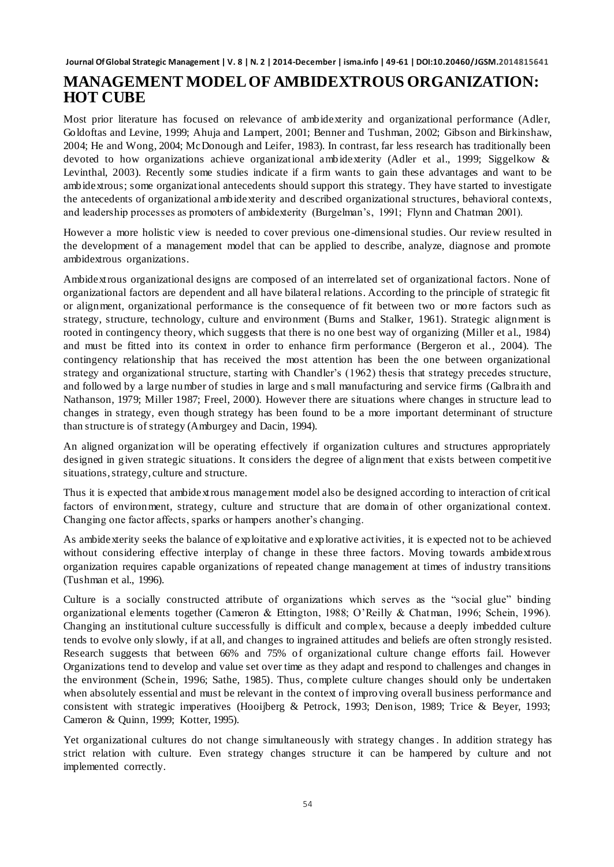### **MANAGEMENT MODEL OF AMBIDEXTROUS ORGANIZATION: HOT CUBE**

Most prior literature has focused on relevance of ambidexterity and organizational performance (Adler, Goldoftas and Levine, 1999; Ahuja and Lampert, 2001; Benner and Tushman, 2002; Gibson and Birkinshaw, 2004; He and Wong, 2004; McDonough and Leifer, 1983). In contrast, far less research has traditionally been devoted to how organizations achieve organizational ambidexterity (Adler et al., 1999; Siggelkow & Levinthal, 2003). Recently some studies indicate if a firm wants to gain these advantages and want to be ambidextrous; some organizational antecedents should support this strategy. They have started to investigate the antecedents of organizational ambidexterity and described organizational structures, behavioral contexts, and leadership processes as promoters of ambidexterity (Burgelman's, 1991; Flynn and Chatman 2001).

However a more holistic view is needed to cover previous one-dimensional studies. Our review resulted in the development of a management model that can be applied to describe, analyze, diagnose and promote ambidextrous organizations.

Ambidextrous organizational designs are composed of an interrelated set of organizational factors. None of organizational factors are dependent and all have bilateral relations. According to the principle of strategic fit or alignment, organizational performance is the consequence of fit between two or more factors such as strategy, structure, technology, culture and environment (Burns and Stalker, 1961). Strategic alignment is rooted in contingency theory, which suggests that there is no one best way of organizing (Miller et al., 1984) and must be fitted into its context in order to enhance firm performance (Bergeron et al., 2004). The contingency relationship that has received the most attention has been the one between organizational strategy and organizational structure, starting with Chandler's (1962) thesis that strategy precedes structure, and followed by a large number of studies in large and s mall manufacturing and service firms (Galbraith and Nathanson, 1979; Miller 1987; Freel, 2000). However there are situations where changes in structure lead to changes in strategy, even though strategy has been found to be a more important determinant of structure than structure is of strategy (Amburgey and Dacin, 1994).

An aligned organization will be operating effectively if organization cultures and structures appropriately designed in given strategic situations. It considers the degree of alignment that exists between competitive situations, strategy, culture and structure.

Thus it is expected that ambidextrous management model also be designed according to interaction of critical factors of environment, strategy, culture and structure that are domain of other organizational context. Changing one factor affects, sparks or hampers another's changing.

As ambidexterity seeks the balance of exploitative and explorative activities, it is expected not to be achieved without considering effective interplay of change in these three factors. Moving towards ambidextrous organization requires capable organizations of repeated change management at times of industry transitions (Tushman et al., 1996).

Culture is a socially constructed attribute of organizations which serves as the "social glue" binding organizational elements together (Cameron & Ettington, 1988; O'Reilly & Chatman, 1996; Schein, 1996). Changing an institutional culture successfully is difficult and complex, because a deeply imbedded culture tends to evolve only slowly, if at all, and changes to ingrained attitudes and beliefs are often strongly resisted. Research suggests that between 66% and 75% of organizational culture change efforts fail. However Organizations tend to develop and value set over time as they adapt and respond to challenges and changes in the environment (Schein, 1996; Sathe, 1985). Thus, complete culture changes should only be undertaken when absolutely essential and must be relevant in the context of improving overall business performance and consistent with strategic imperatives (Hooijberg & Petrock, 1993; Denison, 1989; Trice & Beyer, 1993; Cameron & Quinn, 1999; Kotter, 1995).

Yet organizational cultures do not change simultaneously with strategy changes. In addition strategy has strict relation with culture. Even strategy changes structure it can be hampered by culture and not implemented correctly.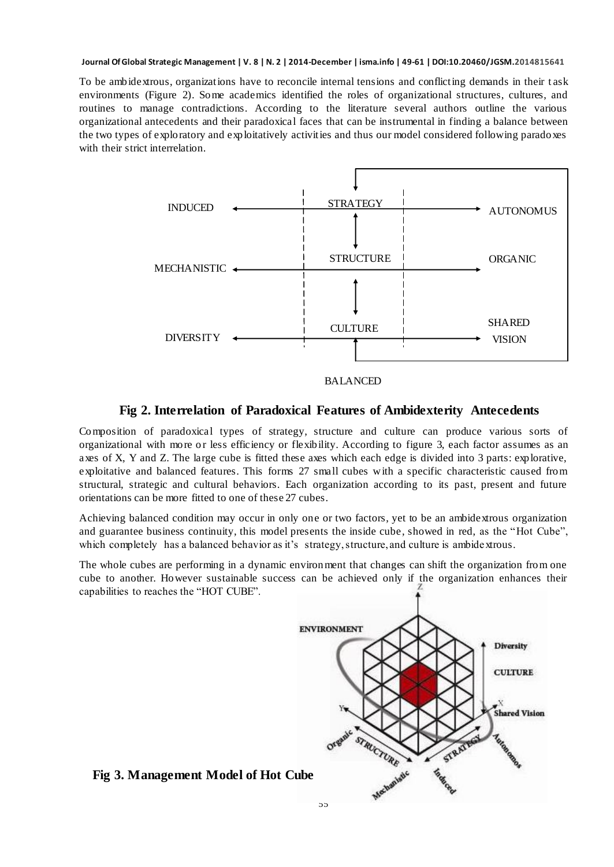To be ambidextrous, organizations have to reconcile internal tensions and conflicting demands in their t ask environments (Figure 2). Some academics identified the roles of organizational structures, cultures, and routines to manage contradictions. According to the literature several authors outline the various organizational antecedents and their paradoxical faces that can be instrumental in finding a balance between the two types of exploratory and exploitatively activities and thus our model considered following paradoxes with their strict interrelation.



### **Fig 2. Interrelation of Paradoxical Features of Ambidexterity Antecedents**

Composition of paradoxical types of strategy, structure and culture can produce various sorts of organizational with more o r less efficiency or flexibility. According to figure 3, each factor assumes as an axes of X, Y and Z. The large cube is fitted these axes which each edge is divided into 3 parts: explorative, exploitative and balanced features. This forms 27 small cubes with a specific characteristic caused from structural, strategic and cultural behaviors. Each organization according to its past, present and future orientations can be more fitted to one of these 27 cubes.

Achieving balanced condition may occur in only one or two factors, yet to be an ambidextrous organization and guarantee business continuity, this model presents the inside cube, showed in red, as the "Hot Cube", which completely has a balanced behavior as it's strategy, structure, and culture is ambidextrous.

The whole cubes are performing in a dynamic environment that changes can shift the organization from one cube to another. However sustainable success can be achieved only if the organization enhances their capabilities to reaches the "HOT CUBE".



#### **Fig 3. Management Model of Hot Cube**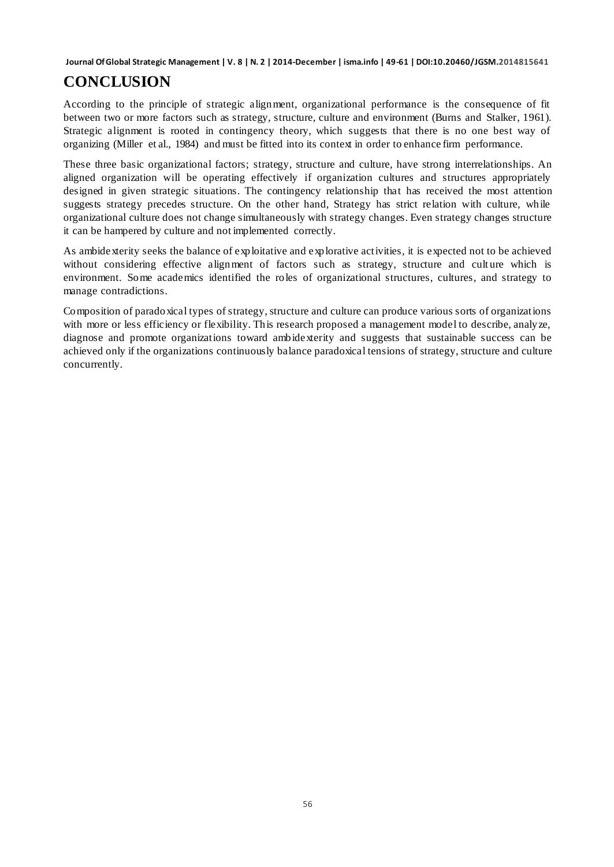## **CONCLUSION**

According to the principle of strategic alignment, organizational performance is the consequence of fit between two or more factors such as strategy, structure, culture and environment (Burns and Stalker, 1961). Strategic alignment is rooted in contingency theory, which suggests that there is no one best way of organizing (Miller et al., 1984) and must be fitted into its context in order to enhance firm performance.

These three basic organizational factors; strategy, structure and culture, have strong interrelationships. An aligned organization will be operating effectively if organization cultures and structures appropriately designed in given strategic situations. The contingency relationship that has received the most attention suggests strategy precedes structure. On the other hand, Strategy has strict relation with culture, while organizational culture does not change simultaneously with strategy changes. Even strategy changes structure it can be hampered by culture and not implemented correctly.

As ambidexterity seeks the balance of exploitative and explorative activities, it is expected not to be achieved without considering effective alignment of factors such as strategy, structure and culture which is environment. Some academics identified the roles of organizational structures, cultures, and strategy to manage contradictions.

Composition of paradoxical types of strategy, structure and culture can produce various sorts of organizations with more or less efficiency or flexibility. This research proposed a management model to describe, analyze, diagnose and promote organizations toward ambidexterity and suggests that sustainable success can be achieved only if the organizations continuously balance paradoxical tensions of strategy, structure and culture concurrently.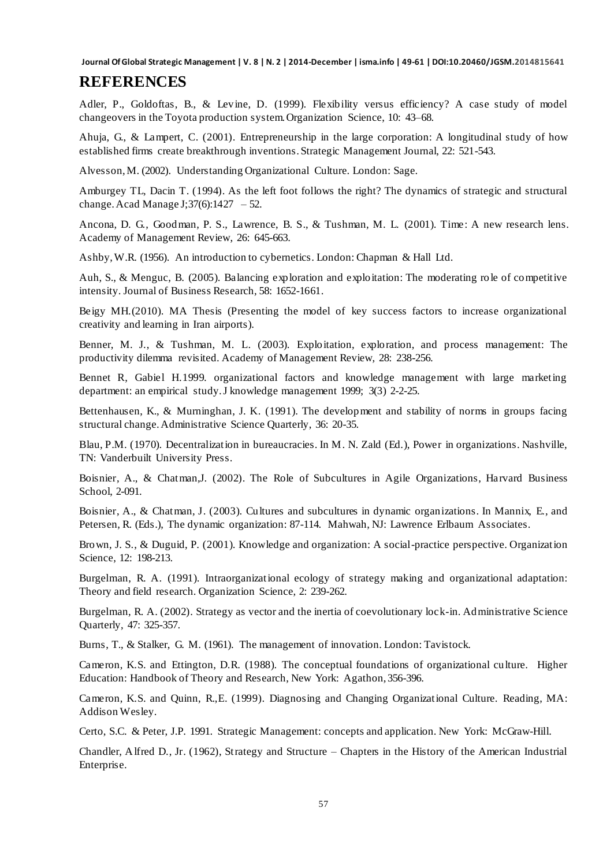### **REFERENCES**

Adler, P., Goldoftas, B., & Levine, D. (1999). Flexibility versus efficiency? A case study of model changeovers in the Toyota production system. Organization Science, 10: 43–68.

Ahuja, G., & Lampert, C. (2001). Entrepreneurship in the large corporation: A longitudinal study of how established firms create breakthrough inventions. Strategic Management Journal, 22: 521-543.

Alvesson, M. (2002). Understanding Organizational Culture. London: Sage.

Amburgey TL, Dacin T. (1994). As the left foot follows the right? The dynamics of strategic and structural change. Acad Manage J;  $37(6)$ :  $1427 - 52$ .

Ancona, D. G., Goodman, P. S., Lawrence, B. S., & Tushman, M. L. (2001). Time: A new research lens. Academy of Management Review, 26: 645-663.

Ashby, W.R. (1956). An introduction to cybernetics. London: Chapman & Hall Ltd.

Auh, S., & Menguc, B. (2005). Balancing exploration and exploitation: The moderating role of competitive intensity. Journal of Business Research, 58: 1652-1661.

Beigy MH.(2010). MA Thesis (Presenting the model of key success factors to increase organizational creativity and learning in Iran airports).

Benner, M. J., & Tushman, M. L. (2003). Exploitation, exploration, and process management: The productivity dilemma revisited. Academy of Management Review, 28: 238-256.

Bennet R, Gabiel H.1999. organizational factors and knowledge management with large marketing department: an empirical study. J knowledge management 1999; 3(3) 2-2-25.

Bettenhausen, K., & Murninghan, J. K. (1991). The development and stability of norms in groups facing structural change. Administrative Science Quarterly, 36: 20-35.

Blau, P.M. (1970). Decentralization in bureaucracies. In M. N. Zald (Ed.), Power in organizations. Nashville, TN: Vanderbuilt University Press.

Boisnier, A., & Chatman,J. (2002). The Role of Subcultures in Agile Organizations, Harvard Business School, 2-091.

Boisnier, A., & Chatman, J. (2003). Cultures and subcultures in dynamic organizations. In Mannix, E., and Petersen, R. (Eds.), The dynamic organization: 87-114. Mahwah, NJ: Lawrence Erlbaum Associates.

Brown, J. S., & Duguid, P. (2001). Knowledge and organization: A social-practice perspective. Organization Science, 12: 198-213.

Burgelman, R. A. (1991). Intraorganizational ecology of strategy making and organizational adaptation: Theory and field research. Organization Science, 2: 239-262.

Burgelman, R. A. (2002). Strategy as vector and the inertia of coevolutionary lock-in. Administrative Science Quarterly, 47: 325-357.

Burns, T., & Stalker, G. M. (1961). The management of innovation. London: Tavistock.

Cameron, K.S. and Ettington, D.R. (1988). The conceptual foundations of organizational culture. Higher Education: Handbook of Theory and Research, New York: Agathon, 356-396.

Cameron, K.S. and Quinn, R.,E. (1999). Diagnosing and Changing Organizational Culture. Reading, MA: Addison Wesley.

Certo, S.C. & Peter, J.P. 1991. Strategic Management: concepts and application. New York: McGraw-Hill.

Chandler, Alfred D., Jr. (1962), Strategy and Structure – Chapters in the History of the American Industrial Enterprise.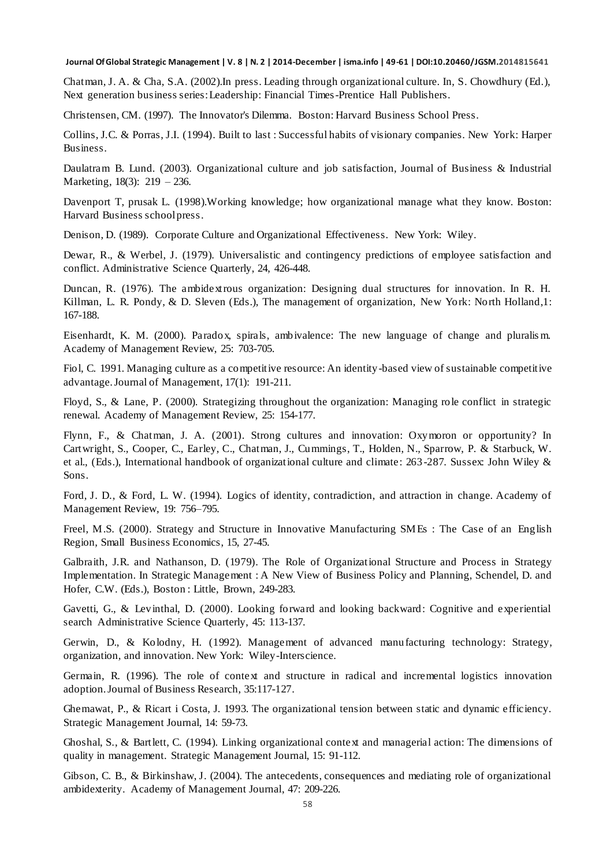Chatman, J. A. & Cha, S.A. (2002).In press. Leading through organizational culture. In, S. Chowdhury (Ed.), Next generation business series: Leadership: Financial Times-Prentice Hall Publishers.

Christensen, CM. (1997). The Innovator's Dilemma. Boston: Harvard Business School Press.

Collins, J.C. & Porras, J.I. (1994). Built to last : Successful habits of visionary companies. New York: Harper Business.

Daulatram B. Lund. (2003). Organizational culture and job satisfaction, Journal of Business & Industrial Marketing, 18(3): 219 – 236.

Davenport T, prusak L. (1998).Working knowledge; how organizational manage what they know. Boston: Harvard Business school press.

Denison, D. (1989). Corporate Culture and Organizational Effectiveness. New York: Wiley.

Dewar, R., & Werbel, J. (1979). Universalistic and contingency predictions of employee satisfaction and conflict. Administrative Science Quarterly, 24, 426-448.

Duncan, R. (1976). The ambidextrous organization: Designing dual structures for innovation. In R. H. Killman, L. R. Pondy, & D. Sleven (Eds.), The management of organization, New York: North Holland,1: 167-188.

Eisenhardt, K. M. (2000). Paradox, spirals, ambivalence: The new language of change and pluralis m. Academy of Management Review, 25: 703-705.

Fiol, C. 1991. Managing culture as a competitive resource: An identity-based view of sustainable competitive advantage. Journal of Management, 17(1): 191-211.

Floyd, S., & Lane, P. (2000). Strategizing throughout the organization: Managing role conflict in strategic renewal. Academy of Management Review, 25: 154-177.

Flynn, F., & Chatman, J. A. (2001). Strong cultures and innovation: Oxymoron or opportunity? In Cartwright, S., Cooper, C., Earley, C., Chatman, J., Cummings, T., Holden, N., Sparrow, P. & Starbuck, W. et al., (Eds.), International handbook of organizational culture and climate: 263 -287. Sussex: John Wiley & Sons.

Ford, J. D., & Ford, L. W. (1994). Logics of identity, contradiction, and attraction in change. Academy of Management Review, 19: 756–795.

Freel, M.S. (2000). Strategy and Structure in Innovative Manufacturing SMEs : The Case of an English Region, Small Business Economics, 15, 27-45.

Galbraith, J.R. and Nathanson, D. (1979). The Role of Organizational Structure and Process in Strategy Implementation. In Strategic Management : A New View of Business Policy and Planning, Schendel, D. and Hofer, C.W. (Eds.), Boston : Little, Brown, 249-283.

Gavetti, G., & Levinthal, D. (2000). Looking forward and looking backward: Cognitive and experiential search Administrative Science Quarterly, 45: 113-137.

Gerwin, D., & Kolodny, H. (1992). Management of advanced manufacturing technology: Strategy, organization, and innovation. New York: Wiley-Interscience.

Germain, R. (1996). The role of context and structure in radical and incremental logistics innovation adoption. Journal of Business Research, 35:117-127.

Ghemawat, P., & Ricart i Costa, J. 1993. The organizational tension between static and dynamic efficiency. Strategic Management Journal, 14: 59-73.

Ghoshal, S., & Bartlett, C. (1994). Linking organizational context and managerial action: The dimensions of quality in management. Strategic Management Journal, 15: 91-112.

Gibson, C. B., & Birkinshaw, J. (2004). The antecedents, consequences and mediating role of organizational ambidexterity. Academy of Management Journal, 47: 209-226.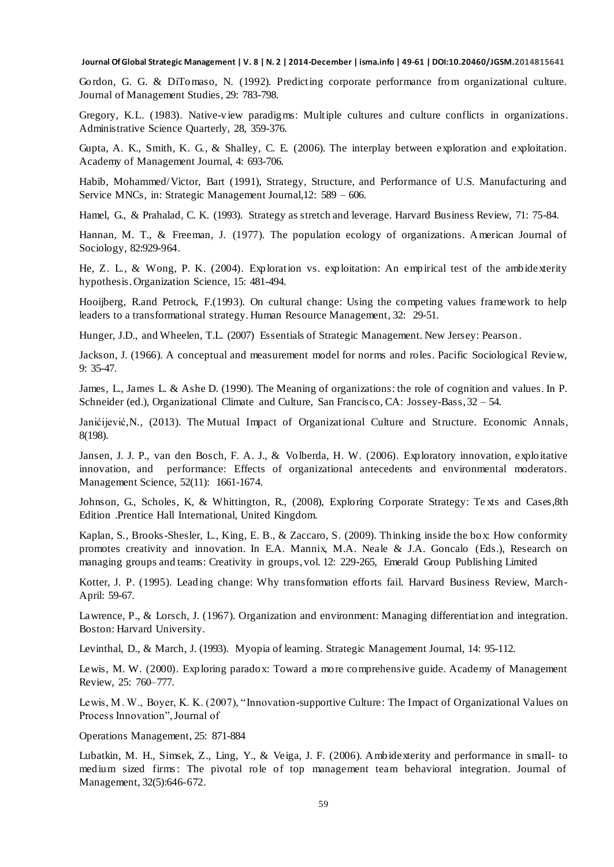Gordon, G. G. & DiTomaso, N. (1992). Predicting corporate performance from organizational culture. Journal of Management Studies, 29: 783-798.

Gregory, K.L. (1983). Native-view paradigms: Multiple cultures and culture conflicts in organizations. Administrative Science Quarterly, 28, 359-376.

Gupta, A. K., Smith, K. G., & Shalley, C. E. (2006). The interplay between exploration and exploitation. Academy of Management Journal, 4: 693-706.

Habib, Mohammed/Victor, Bart (1991), Strategy, Structure, and Performance of U.S. Manufacturing and Service MNCs, in: Strategic Management Journal,12: 589 – 606.

Hamel, G., & Prahalad, C. K. (1993). Strategy as stretch and leverage. Harvard Business Review, 71: 75-84.

Hannan, M. T., & Freeman, J. (1977). The population ecology of organizations. American Journal of Sociology, 82:929-964.

He, Z. L., & Wong, P. K. (2004). Exploration vs. exploitation: An empirical test of the ambidexterity hypothesis. Organization Science, 15: 481-494.

Hooijberg, R.and Petrock, F.(1993). On cultural change: Using the competing values framework to help leaders to a transformational strategy. Human Resource Management, 32: 29-51.

Hunger, J.D., and Wheelen, T.L. (2007) Essentials of Strategic Management. New Jersey: Pearson .

Jackson, J. (1966). A conceptual and measurement model for norms and roles. Pacific Sociological Review, 9: 35-47.

James, L., James L. & Ashe D. (1990). The Meaning of organizations: the role of cognition and values. In P. Schneider (ed.), Organizational Climate and Culture, San Francisco, CA: Jossey-Bass, 32 – 54.

Janićijević, N., (2013). The [Mutual Impact of Organizational Culture and Structure.](http://econpapers.repec.org/RePEc:beo:journl:v:58:y:2013:i:198:p:35-60) Economic Annals, 8(198).

Jansen, J. J. P., van den Bosch, F. A. J., & Volberda, H. W. (2006). Exploratory innovation, exploitative innovation, and performance: Effects of organizational antecedents and environmental moderators. Management Science, 52(11): 1661-1674.

Johnson, G., Scholes, K, & Whittington, R., (2008), Exploring Corporate Strategy: Te xts and Cases,8th Edition .Prentice Hall International, United Kingdom.

Kaplan, S., Brooks-Shesler, L., King, E. B., & Zaccaro, S. (2009). Thinking inside the box: How conformity promotes creativity and innovation. In E.A. Mannix, M.A. Neale & J.A. Goncalo (Eds.), Research on managing groups and teams: Creativity in groups, vol. 12: 229-265, Emerald Group Publishing Limited

Kotter, J. P. (1995). Leading change: Why transformation efforts fail. Harvard Business Review, March-April: 59-67.

Lawrence, P., & Lorsch, J. (1967). Organization and environment: Managing differentiation and integration. Boston: Harvard University.

Levinthal, D., & March, J. (1993). Myopia of learning. Strategic Management Journal, 14: 95-112.

Lewis, M. W. (2000). Exploring paradox: Toward a more comprehensive guide. Academy of Management Review, 25: 760–777.

Lewis, M. W., Boyer, K. K. (2007), "Innovation-supportive Culture: The Impact of Organizational Values on Process Innovation", Journal of

Operations Management, 25: 871-884

Lubatkin, M. H., Simsek, Z., Ling, Y., & Veiga, J. F. (2006). Ambidexterity and performance in small- to medium sized firms : The pivotal role of top management team behavioral integration. Journal of Management, 32(5):646-672.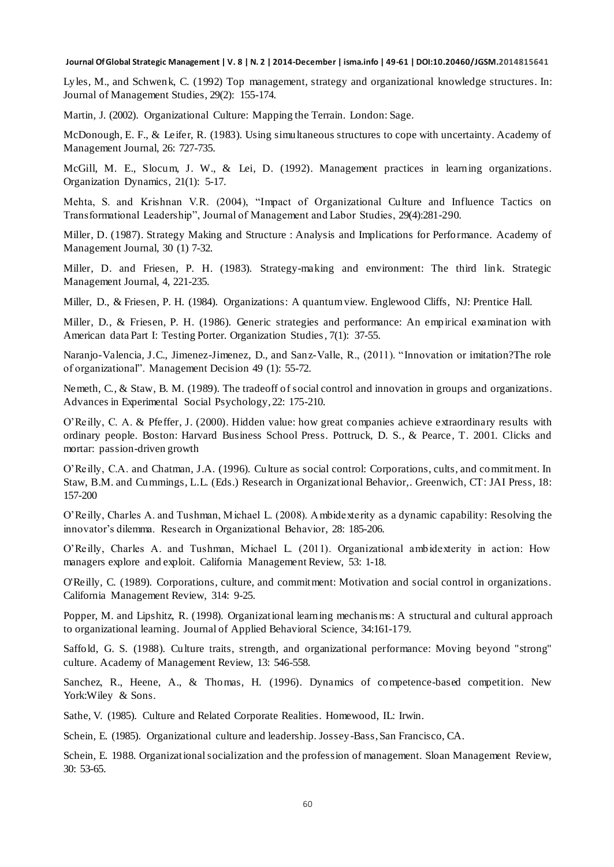Lyles, M., and Schwenk, C. (1992) Top management, strategy and organizational knowledge structures. In: Journal of Management Studies, 29(2): 155-174.

Martin, J. (2002). Organizational Culture: Mapping the Terrain. London: Sage.

McDonough, E. F., & Leifer, R. (1983). Using simultaneous structures to cope with uncertainty. Academy of Management Journal, 26: 727-735.

McGill, M. E., Slocum, J. W., & Lei, D. (1992). Management practices in learning organizations. Organization Dynamics, 21(1): 5-17.

Mehta, S. and Krishnan V.R. (2004), "Impact of Organizational Culture and Influence Tactics on Transformational Leadership", Journal of Management and Labor Studies, 29(4):281-290.

Miller, D. (1987). Strategy Making and Structure : Analysis and Implications for Performance. Academy of Management Journal, 30 (1) 7-32.

Miller, D. and Friesen, P. H. (1983). Strategy-making and environment: The third link. Strategic Management Journal, 4, 221-235.

Miller, D., & Friesen, P. H. (1984). Organizations: A quantum view. Englewood Cliffs, NJ: Prentice Hall.

Miller, D., & Friesen, P. H. (1986). Generic strategies and performance: An empirical examination with American data Part I: Testing Porter. Organization Studies, 7(1): 37-55.

Naranjo-Valencia, J.C., Jimenez-Jimenez, D., and Sanz-Valle, R., (2011). "Innovation or imitation?The role of organizational". Management Decision 49 (1): 55-72.

Nemeth, C., & Staw, B. M. (1989). The tradeoff of social control and innovation in groups and organizations. Advances in Experimental Social Psychology, 22: 175-210.

O'Reilly, C. A. & Pfeffer, J. (2000). Hidden value: how great companies achieve extraordinary results with ordinary people. Boston: Harvard Business School Press. Pottruck, D. S., & Pearce, T. 2001. Clicks and mortar: passion-driven growth

O'Reilly, C.A. and Chatman, J.A. (1996). Culture as social control: Corporations, cults, and commitment. In Staw, B.M. and Cummings, L.L. (Eds.) Research in Organizational Behavior,. Greenwich, CT: JAI Press, 18: 157-200

O'Reilly, Charles A. and Tushman, Michael L. (2008). Ambidexterity as a dynamic capability: Resolving the innovator's dilemma. Research in Organizational Behavior, 28: 185-206.

O'Reilly, Charles A. and Tushman, Michael L. (2011). Organizational ambidexterity in action: How managers explore and exploit. California Management Review, 53: 1-18.

O'Reilly, C. (1989). Corporations, culture, and commitment: Motivation and social control in organizations. California Management Review, 314: 9-25.

Popper, M. and Lipshitz, R. (1998). Organizational learning mechanis ms: A structural and cultural approach to organizational learning. Journal of Applied Behavioral Science, 34:161-179.

Saffold, G. S. (1988). Culture traits, strength, and organizational performance: Moving beyond "strong" culture. Academy of Management Review, 13: 546-558.

Sanchez, R., Heene, A., & Thomas, H. (1996). Dynamics of competence-based competition. New York:Wiley & Sons.

Sathe, V. (1985). Culture and Related Corporate Realities. Homewood, IL: Irwin.

Schein, E. (1985). Organizational culture and leadership. Jossey-Bass, San Francisco, CA.

Schein, E. 1988. Organizational socialization and the profession of management. Sloan Management Review, 30: 53-65.